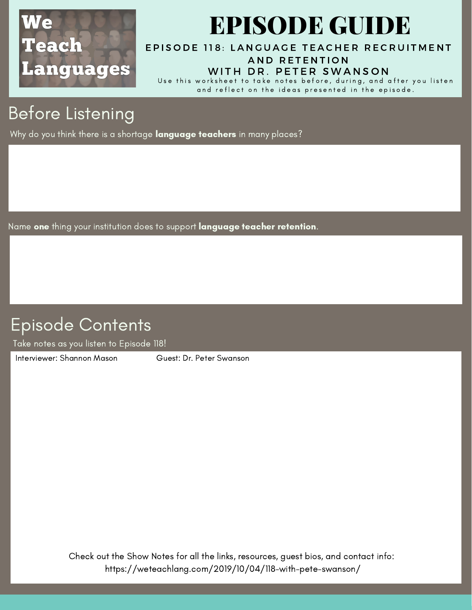

# EPISODE GUIDE

EPISODE 118: LANGUAGE TEACHER RECRUIT[M](https://weteachlang.com/2019/10/04/118-with-pete-swanson/)ENT AND RETENTION

#### WITH DR. PETER SWANSON

Use this worksheet to take notes before, during, and after you listen and reflect on the ideas presented in the episode.

## Before Listening

Why do you think there is a shortage language teachers in many places?

Name one thing your institution does to support language teacher retention.

#### Episode Contents

Take notes as you listen to Episode 118!

[Interviewer:](https://weteachlang.com/2018/08/31/ep-68-with-erin-whelchel) Shannon Mason Guest: Dr. Peter Swanson

Check out the Show Notes for all the links, resources, guest bios, and contact info: <https://weteachlang.com/2019/10/04/118-with-pete-swanson/>